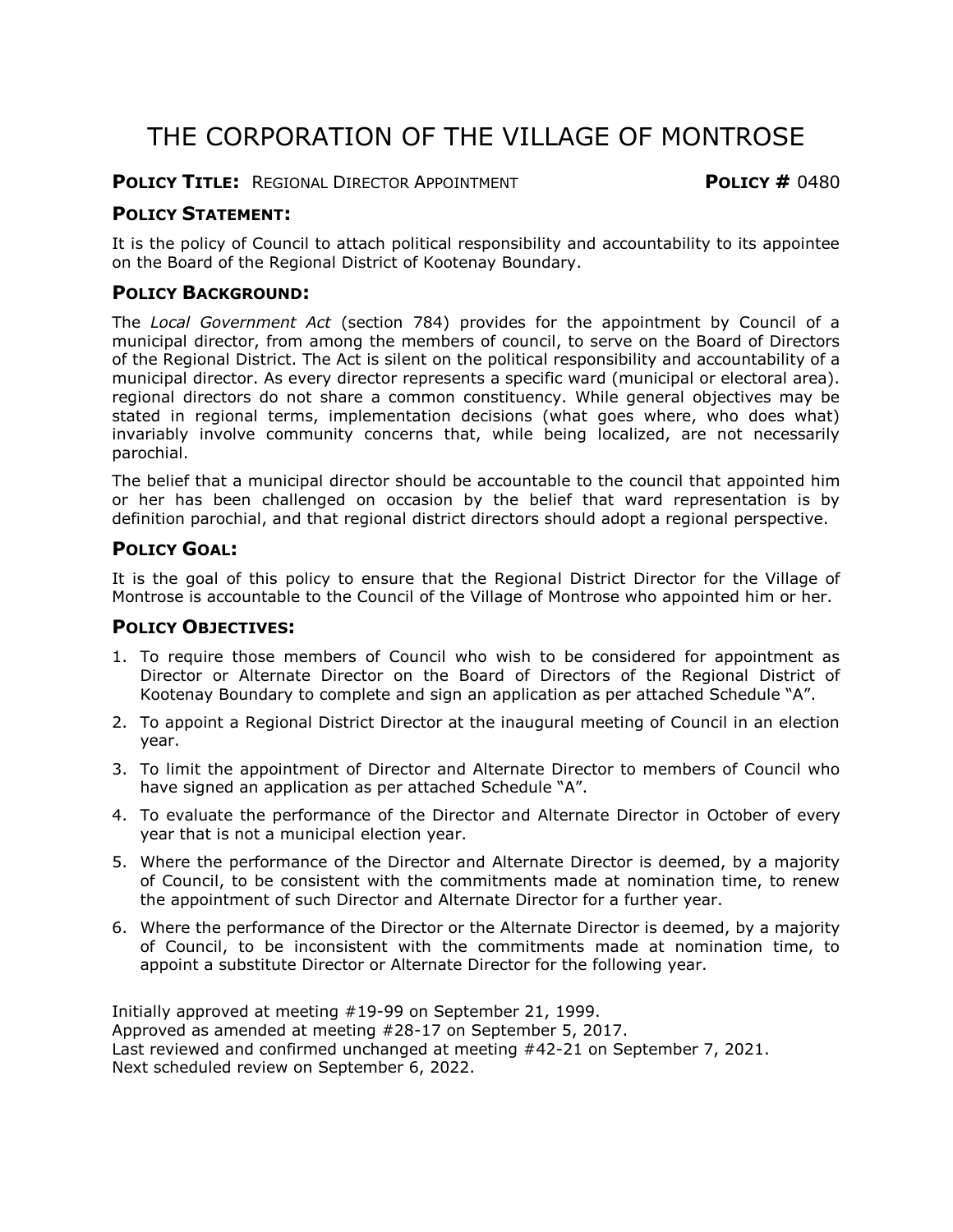# THE CORPORATION OF THE VILLAGE OF MONTROSE

#### **POLICY TITLE:** REGIONAL DIRECTOR APPOINTMENT **POLICY #** 0480

#### **POLICY STATEMENT:**

It is the policy of Council to attach political responsibility and accountability to its appointee on the Board of the Regional District of Kootenay Boundary.

### **POLICY BACKGROUND:**

The *Local Government Act* (section 784) provides for the appointment by Council of a municipal director, from among the members of council, to serve on the Board of Directors of the Regional District. The Act is silent on the political responsibility and accountability of a municipal director. As every director represents a specific ward (municipal or electoral area). regional directors do not share a common constituency. While general objectives may be stated in regional terms, implementation decisions (what goes where, who does what) invariably involve community concerns that, while being localized, are not necessarily parochial.

The belief that a municipal director should be accountable to the council that appointed him or her has been challenged on occasion by the belief that ward representation is by definition parochial, and that regional district directors should adopt a regional perspective.

#### **POLICY GOAL:**

It is the goal of this policy to ensure that the Regional District Director for the Village of Montrose is accountable to the Council of the Village of Montrose who appointed him or her.

#### **POLICY OBJECTIVES:**

- 1. To require those members of Council who wish to be considered for appointment as Director or Alternate Director on the Board of Directors of the Regional District of Kootenay Boundary to complete and sign an application as per attached Schedule "A".
- 2. To appoint a Regional District Director at the inaugural meeting of Council in an election year.
- 3. To limit the appointment of Director and Alternate Director to members of Council who have signed an application as per attached Schedule "A".
- 4. To evaluate the performance of the Director and Alternate Director in October of every year that is not a municipal election year.
- 5. Where the performance of the Director and Alternate Director is deemed, by a majority of Council, to be consistent with the commitments made at nomination time, to renew the appointment of such Director and Alternate Director for a further year.
- 6. Where the performance of the Director or the Alternate Director is deemed, by a majority of Council, to be inconsistent with the commitments made at nomination time, to appoint a substitute Director or Alternate Director for the following year.

Initially approved at meeting #19-99 on September 21, 1999. Approved as amended at meeting #28-17 on September 5, 2017. Last reviewed and confirmed unchanged at meeting #42-21 on September 7, 2021. Next scheduled review on September 6, 2022.